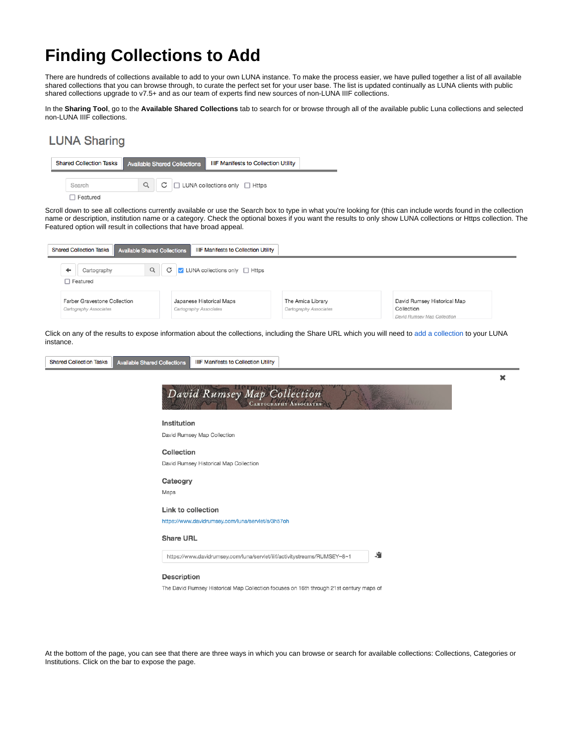## **Finding Collections to Add**

There are hundreds of collections available to add to your own LUNA instance. To make the process easier, we have pulled together a list of all available shared collections that you can browse through, to curate the perfect set for your user base. The list is updated continually as LUNA clients with public shared collections upgrade to v7.5+ and as our team of experts find new sources of non-LUNA IIIF collections.

In the **Sharing Tool**, go to the **Available Shared Collections** tab to search for or browse through all of the available public Luna collections and selected non-LUNA IIIF collections.

## **LUNA Sharing**



Scroll down to see all collections currently available or use the Search box to type in what you're looking for (this can include words found in the collection name or description, institution name or a category. Check the optional boxes if you want the results to only show LUNA collections or Https collection. The Featured option will result in collections that have broad appeal.

| <b>Shared Collection Tasks</b><br><b>Available Shared Collections</b> | <b>IIIF Manifests to Collection Utility</b>                     |                                             |                                           |
|-----------------------------------------------------------------------|-----------------------------------------------------------------|---------------------------------------------|-------------------------------------------|
| Q<br>Cartography<br>□ Featured                                        | $\blacksquare$ LUNA collections only $\blacksquare$ Https<br>C. |                                             |                                           |
| Farber Gravestone Collection<br>Cartography Associates                | Japanese Historical Maps<br>Cartography Associates              | The Amica Library<br>Cartography Associates | David Rumsey Historical Map<br>Collection |

Click on any of the results to expose information about the collections, including the Share URL which you will need to [add a collection](https://doc.lunaimaging.com/display/V75D/Sharing+Collections) to your LUNA instance.

| <b>Shared Collection Tasks</b> | <b>Available Shared Collections</b> | <b>IIIF Manifests to Collection Utility</b>                                             |   |
|--------------------------------|-------------------------------------|-----------------------------------------------------------------------------------------|---|
|                                |                                     |                                                                                         | × |
|                                |                                     | David Rumsey Map Collection<br><b>CARTOGRAPHY ASSOCIATES</b>                            |   |
|                                | Institution                         |                                                                                         |   |
|                                |                                     | David Rumsey Map Collection                                                             |   |
|                                | Collection                          |                                                                                         |   |
|                                |                                     | David Rumsey Historical Map Collection                                                  |   |
|                                | Cateogry                            |                                                                                         |   |
|                                | Maps                                |                                                                                         |   |
|                                | Link to collection                  |                                                                                         |   |
|                                |                                     | https://www.davidrumsey.com/luna/servlet/s/3h57oh                                       |   |
|                                | <b>Share URL</b>                    |                                                                                         |   |
|                                |                                     | 肩<br>https://www.davidrumsey.com/luna/servlet/iiif/activitystreams/RUMSEY~8~1           |   |
|                                | <b>Description</b>                  |                                                                                         |   |
|                                |                                     | The David Rumsey Historical Map Collection focuses on 16th through 21st century maps of |   |

At the bottom of the page, you can see that there are three ways in which you can browse or search for available collections: Collections, Categories or Institutions. Click on the bar to expose the page.